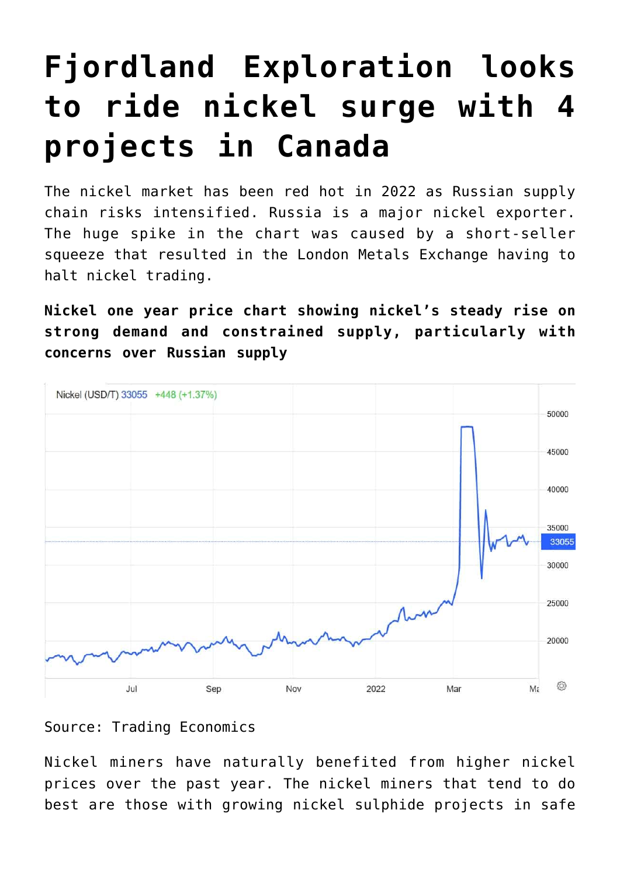# **[Fjordland Exploration looks](https://investorintel.com/markets/technology-metals/technology-metals-intel/fjordland-exploration-looks-to-ride-nickel-surge-with-4-projects-in-canada/) [to ride nickel surge with 4](https://investorintel.com/markets/technology-metals/technology-metals-intel/fjordland-exploration-looks-to-ride-nickel-surge-with-4-projects-in-canada/) [projects in Canada](https://investorintel.com/markets/technology-metals/technology-metals-intel/fjordland-exploration-looks-to-ride-nickel-surge-with-4-projects-in-canada/)**

The nickel market has been red hot in 2022 as Russian supply chain risks intensified. Russia is a major nickel exporter. The huge spike in the chart was caused by [a short-seller](https://www.bloomberg.com/news/articles/2022-03-14/inside-nickel-s-short-squeeze-how-price-surges-halted-lme-trading) [squeeze](https://www.bloomberg.com/news/articles/2022-03-14/inside-nickel-s-short-squeeze-how-price-surges-halted-lme-trading) that resulted in the London Metals Exchange having to halt nickel trading.

**Nickel one year price chart showing nickel's steady rise on strong demand and constrained supply, particularly with concerns over Russian supply**



Source: [Trading Economics](https://tradingeconomics.com/commodity/nickel)

Nickel miners have naturally benefited from higher nickel prices over the past year. The nickel miners that tend to do best are those with growing nickel sulphide projects in safe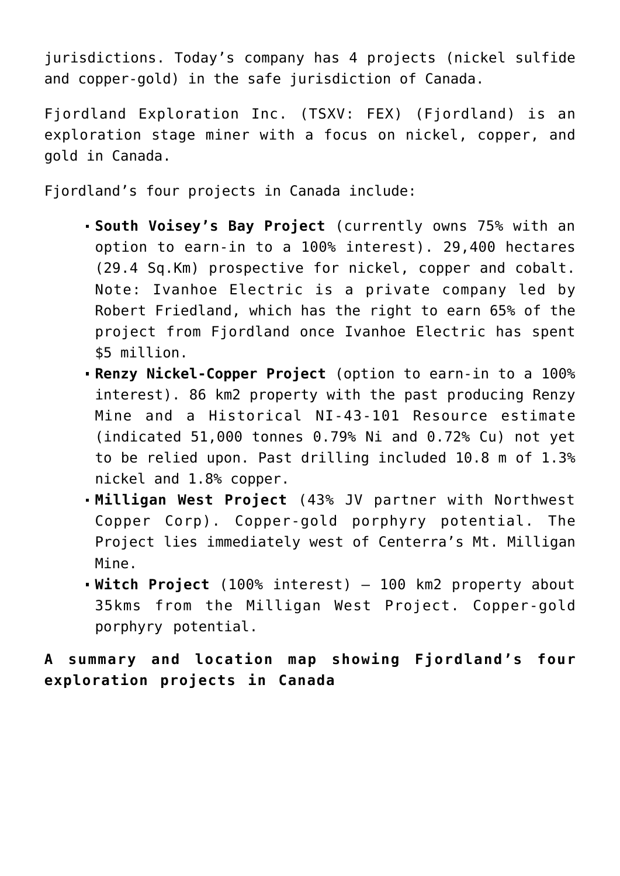jurisdictions. Today's company has 4 projects (nickel sulfide and copper-gold) in the safe jurisdiction of Canada.

[Fjordland Exploration Inc.](https://investorintel.com/iintel-members/fjordland-exploration-inc/) (TSXV: FEX) (Fjordland) is an exploration stage miner with a focus on nickel, copper, and gold in Canada.

Fjordland's four projects in Canada include:

- **[South Voisey's Bay Project](https://fjordlandex.com/projects/voiseys-bay-south-property)** (currently owns 75% with an option to earn-in to a 100% interest). 29,400 hectares (29.4 Sq.Km) prospective for nickel, copper and cobalt. Note: Ivanhoe Electric is a private company led by Robert Friedland, which has the right to earn 65% of the project from Fjordland once Ivanhoe Electric has spent \$5 million.
- **[Renzy Nickel-Copper Project](https://fjordlandex.com/projects/renzy-nickel-copper-project-quebec)** (option to earn-in to a 100% interest). 86 km2 property with the past producing Renzy Mine and a Historical NI-43-101 Resource estimate (indicated [51,000 tonnes 0.79% Ni and 0.72% Cu](https://fjordlandex.com/projects/renzy-nickel-copper-project-quebec)) not yet to be relied upon. Past drilling included [10.8 m of 1.3%](https://fjordlandex.com/projects/renzy-nickel-copper-project-quebec) [nickel and 1.8% copper](https://fjordlandex.com/projects/renzy-nickel-copper-project-quebec).
- **[Milligan West Project](https://fjordlandex.com/projects/milligan-west-property)** (43% JV partner with Northwest Copper Corp). Copper-gold porphyry potential. The Project lies immediately west of Centerra's Mt. Milligan Mine.
- **[Witch Project](https://fjordlandex.com/projects/witch-project)** (100% interest) 100 km2 property about 35kms from the Milligan West Project. Copper-gold porphyry potential.

**A summary and location map showing Fjordland's four exploration projects in Canada**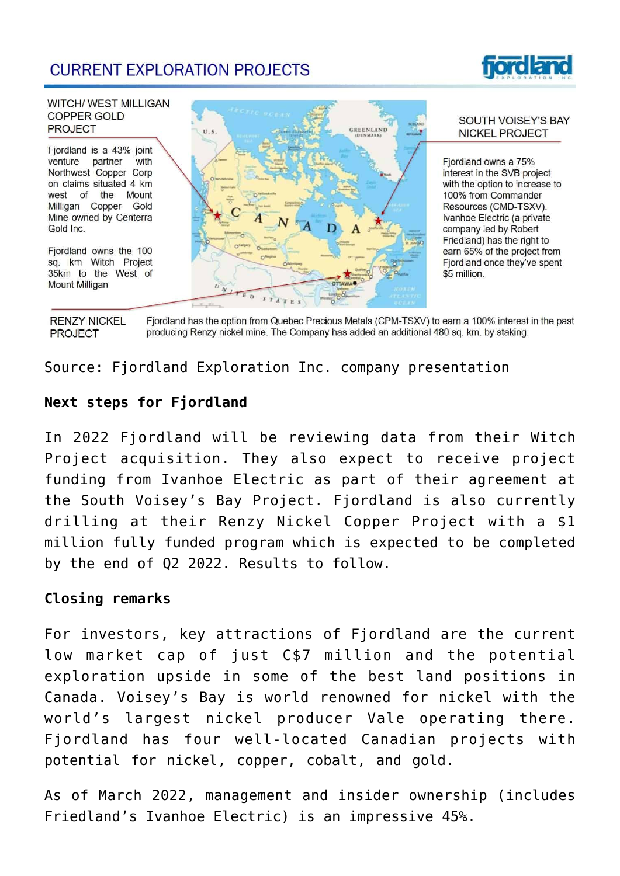# **CURRENT EXPLORATION PROJECTS**



#### **WITCH/ WEST MILLIGAN** COPPER GOLD **PROJECT**

Fjordland is a 43% joint venture partner with Northwest Copper Corp on claims situated 4 km west of the Mount Milligan Copper Gold Mine owned by Centerra Gold Inc.

Fjordland owns the 100 sq. km Witch Project 35km to the West of **Mount Milligan** 



#### SOUTH VOISEY'S BAY **NICKEL PROJECT**

Fiordland owns a 75% interest in the SVB project with the option to increase to 100% from Commander Resources (CMD-TSXV). Ivanhoe Electric (a private company led by Robert Friedland) has the right to earn 65% of the project from Fjordland once they've spent \$5 million.

Fjordland has the option from Quebec Precious Metals (CPM-TSXV) to earn a 100% interest in the past **RENZY NICKEL** producing Renzy nickel mine. The Company has added an additional 480 sq. km. by staking. **PROJECT** 

Source: [Fjordland Exploration Inc. company presentation](https://fjordlandex.com/assets/docs/presentations/FEX%20Investor%20Presentation%20March%202022.V2.pdf)

## **Next steps for Fjordland**

In 2022 Fjordland will be reviewing data from their Witch Project acquisition. They also expect to receive project funding from Ivanhoe Electric as part of their agreement at the South Voisey's Bay Project. Fjordland is also [currently](https://investorintel.com/markets/technology-metals/technology-metals-news/fjordland-completes-non-brokered-private-placement-financing/) [drilling](https://investorintel.com/markets/technology-metals/technology-metals-news/fjordland-completes-non-brokered-private-placement-financing/) at their Renzy Nickel Copper Project with a \$1 million fully funded program which is expected to be completed by the end of Q2 2022. Results to follow.

### **Closing remarks**

For investors, key attractions of Fjordland are the current low market cap of just [C\\$7 million](https://au.finance.yahoo.com/quote/FEX.V/) and the potential exploration upside in some of the best land positions in Canada. Voisey's Bay is world renowned for nickel with the world's largest nickel producer Vale operating there. Fjordland has four well-located Canadian projects with potential for nickel, copper, cobalt, and gold.

As of March 2022, management and insider ownership (includes Friedland's Ivanhoe Electric) is an impressive [45%.](https://fjordlandex.com/assets/docs/presentations/FEX%20Investor%20Presentation%20March%202022.V2.pdf)